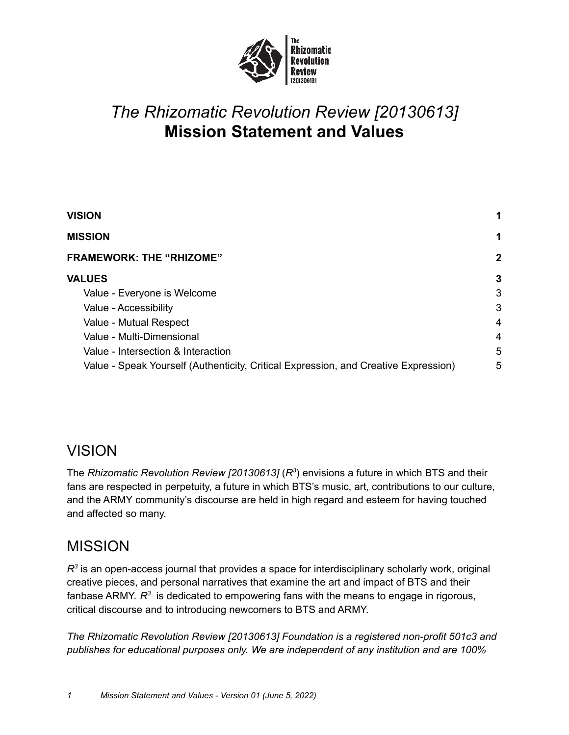

# *The Rhizomatic Revolution Review [20130613]* **Mission Statement and Values**

| <b>VISION</b>                                                                       |   |
|-------------------------------------------------------------------------------------|---|
| <b>MISSION</b>                                                                      | 1 |
| <b>FRAMEWORK: THE "RHIZOME"</b>                                                     | 2 |
| <b>VALUES</b>                                                                       | 3 |
| Value - Everyone is Welcome                                                         | 3 |
| Value - Accessibility                                                               | 3 |
| Value - Mutual Respect                                                              | 4 |
| Value - Multi-Dimensional                                                           | 4 |
| Value - Intersection & Interaction                                                  | 5 |
| Value - Speak Yourself (Authenticity, Critical Expression, and Creative Expression) | 5 |

## <span id="page-0-0"></span>VISION

The *Rhizomatic Revolution Review [20130613]* (*R 3* ) envisions a future in which BTS and their fans are respected in perpetuity, a future in which BTS's music, art, contributions to our culture, and the ARMY community's discourse are held in high regard and esteem for having touched and affected so many.

## <span id="page-0-1"></span>MISSION

*R 3* is an open-access journal that provides a space for interdisciplinary scholarly work, original creative pieces, and personal narratives that examine the art and impact of BTS and their fanbase ARMY.  $R^3$  is dedicated to empowering fans with the means to engage in rigorous, critical discourse and to introducing newcomers to BTS and ARMY.

*The Rhizomatic Revolution Review [20130613] Foundation is a registered non-profit 501c3 and publishes for educational purposes only. We are independent of any institution and are 100%*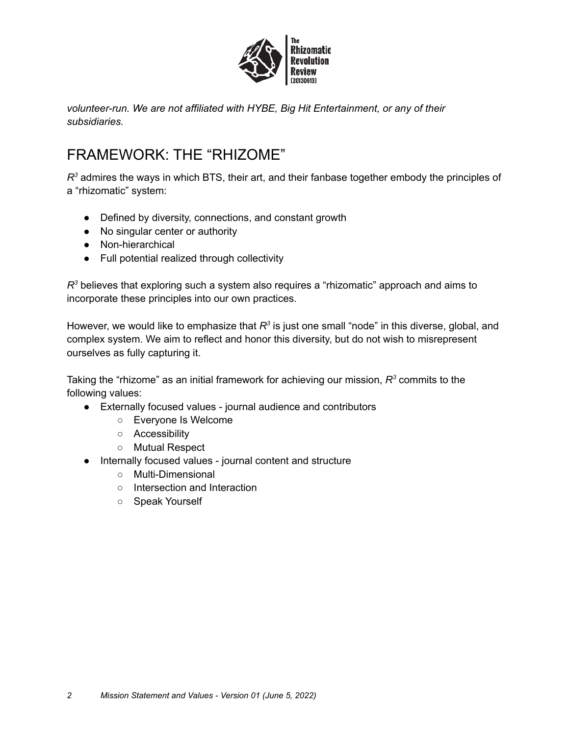

*volunteer-run. We are not affiliated with HYBE, Big Hit Entertainment, or any of their subsidiaries.*

## <span id="page-1-0"></span>FRAMEWORK: THE "RHIZOME"

*R <sup>3</sup>* admires the ways in which BTS, their art, and their fanbase together embody the principles of a "rhizomatic" system:

- Defined by diversity, connections, and constant growth
- No singular center or authority
- Non-hierarchical
- Full potential realized through collectivity

*R <sup>3</sup>* believes that exploring such a system also requires a "rhizomatic" approach and aims to incorporate these principles into our own practices.

However, we would like to emphasize that R<sup>3</sup> is just one small "node" in this diverse, global, and complex system. We aim to reflect and honor this diversity, but do not wish to misrepresent ourselves as fully capturing it.

Taking the "rhizome" as an initial framework for achieving our mission,  $\mathcal{R}^3$  commits to the following values:

- Externally focused values journal audience and contributors
	- Everyone Is Welcome
	- Accessibility
	- Mutual Respect
- Internally focused values journal content and structure
	- Multi-Dimensional
	- Intersection and Interaction
	- Speak Yourself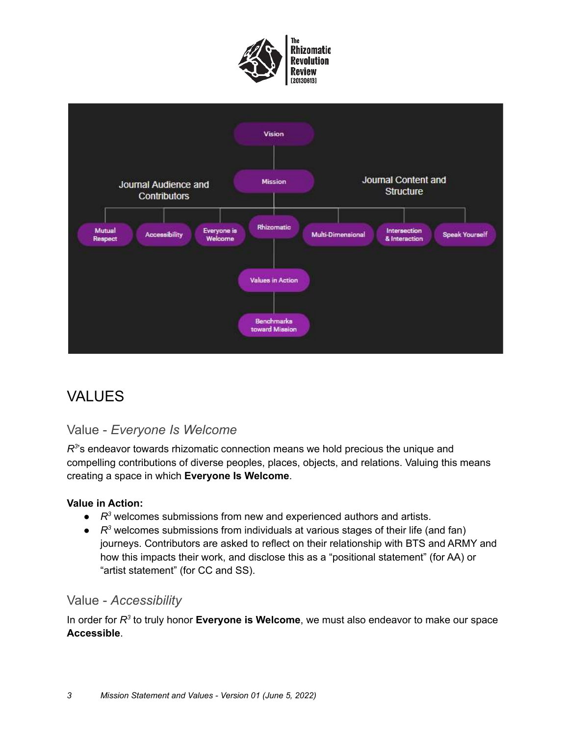



## <span id="page-2-0"></span>VALUES

## <span id="page-2-1"></span>Value - *Everyone Is Welcome*

*R 3* 's endeavor towards rhizomatic connection means we hold precious the unique and compelling contributions of diverse peoples, places, objects, and relations. Valuing this means creating a space in which **Everyone Is Welcome**.

#### **Value in Action:**

- *R*<sup>3</sup> welcomes submissions from new and experienced authors and artists.
- *R*<sup>3</sup> welcomes submissions from individuals at various stages of their life (and fan) journeys. Contributors are asked to reflect on their relationship with BTS and ARMY and how this impacts their work, and disclose this as a "positional statement" (for AA) or "artist statement" (for CC and SS).

### <span id="page-2-2"></span>Value - *Accessibility*

In order for  $R^3$  to truly honor **Everyone is Welcome**, we must also endeavor to make our space **Accessible**.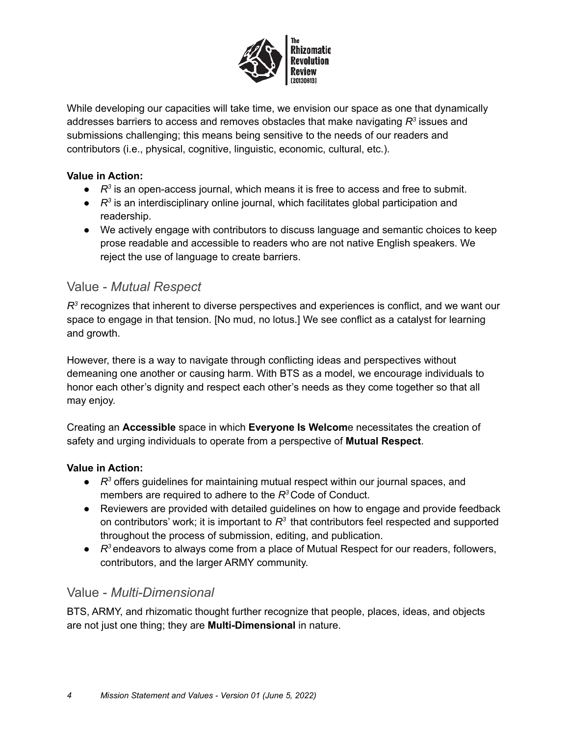

While developing our capacities will take time, we envision our space as one that dynamically addresses barriers to access and removes obstacles that make navigating  $R^3$  issues and submissions challenging; this means being sensitive to the needs of our readers and contributors (i.e., physical, cognitive, linguistic, economic, cultural, etc.).

#### **Value in Action:**

- *R*<sup>3</sup> is an open-access journal, which means it is free to access and free to submit.
- $R^3$  is an interdisciplinary online journal, which facilitates global participation and readership.
- We actively engage with contributors to discuss language and semantic choices to keep prose readable and accessible to readers who are not native English speakers. We reject the use of language to create barriers.

### <span id="page-3-0"></span>Value - *Mutual Respect*

*R 3* recognizes that inherent to diverse perspectives and experiences is conflict, and we want our space to engage in that tension. [No mud, no lotus.] We see conflict as a catalyst for learning and growth.

However, there is a way to navigate through conflicting ideas and perspectives without demeaning one another or causing harm. With BTS as a model, we encourage individuals to honor each other's dignity and respect each other's needs as they come together so that all may enjoy.

Creating an **Accessible** space in which **Everyone Is Welcom**e necessitates the creation of safety and urging individuals to operate from a perspective of **Mutual Respect**.

#### **Value in Action:**

- *R <sup>3</sup>* offers guidelines for maintaining mutual respect within our journal spaces, and members are required to adhere to the *R <sup>3</sup>* Code of Conduct.
- Reviewers are provided with detailed guidelines on how to engage and provide feedback on contributors' work; it is important to  $R^3$  that contributors feel respected and supported throughout the process of submission, editing, and publication.
- *R*<sup>3</sup> endeavors to always come from a place of Mutual Respect for our readers, followers, contributors, and the larger ARMY community.

### <span id="page-3-1"></span>Value - *Multi-Dimensional*

BTS, ARMY, and rhizomatic thought further recognize that people, places, ideas, and objects are not just one thing; they are **Multi-Dimensional** in nature.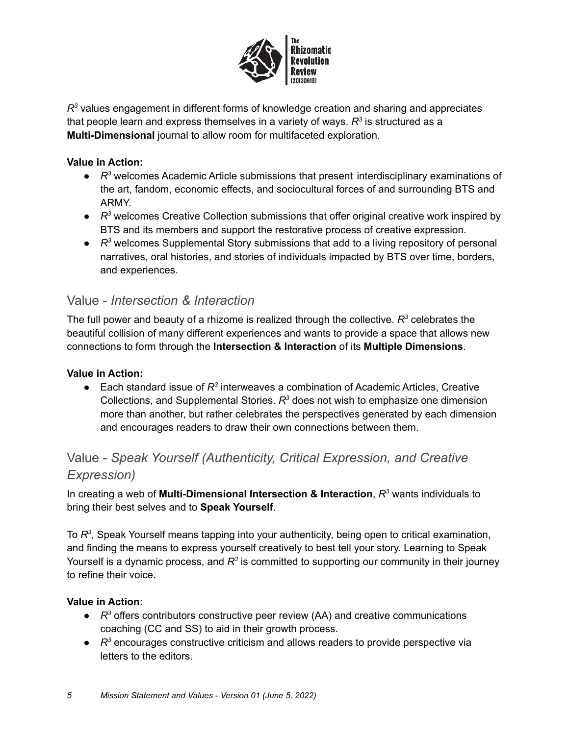

*R 3* values engagement in different forms of knowledge creation and sharing and appreciates that people learn and express themselves in a variety of ways.  $\mathcal{R}^3$  is structured as a **Multi-Dimensional** journal to allow room for multifaceted exploration.

#### **Value in Action:**

- *R*<sup>3</sup> welcomes Academic Article submissions that present interdisciplinary examinations of the art, fandom, economic effects, and sociocultural forces of and surrounding BTS and ARMY.
- *R*<sup>3</sup> welcomes Creative Collection submissions that offer original creative work inspired by BTS and its members and support the restorative process of creative expression.
- *R*<sup>3</sup> welcomes Supplemental Story submissions that add to a living repository of personal narratives, oral histories, and stories of individuals impacted by BTS over time, borders, and experiences.

### <span id="page-4-0"></span>Value - *Intersection & Interaction*

The full power and beauty of a rhizome is realized through the collective.  $R^3$  celebrates the beautiful collision of many different experiences and wants to provide a space that allows new connections to form through the **Intersection & Interaction** of its **Multiple Dimensions**.

#### **Value in Action:**

● Each standard issue of R<sup>3</sup> interweaves a combination of Academic Articles, Creative Collections, and Supplemental Stories. *R <sup>3</sup>* does not wish to emphasize one dimension more than another, but rather celebrates the perspectives generated by each dimension and encourages readers to draw their own connections between them.

## <span id="page-4-1"></span>Value - *Speak Yourself (Authenticity, Critical Expression, and Creative Expression)*

In creating a web of **Multi-Dimensional Intersection & Interaction**, *R <sup>3</sup>* wants individuals to bring their best selves and to **Speak Yourself**.

To R<sup>3</sup>, Speak Yourself means tapping into your authenticity, being open to critical examination, and finding the means to express yourself creatively to best tell your story. Learning to Speak Yourself is a dynamic process, and R<sup>3</sup> is committed to supporting our community in their journey to refine their voice.

#### **Value in Action:**

- *R*<sup>3</sup> offers contributors constructive peer review (AA) and creative communications coaching (CC and SS) to aid in their growth process.
- *R*<sup>3</sup> encourages constructive criticism and allows readers to provide perspective via letters to the editors.